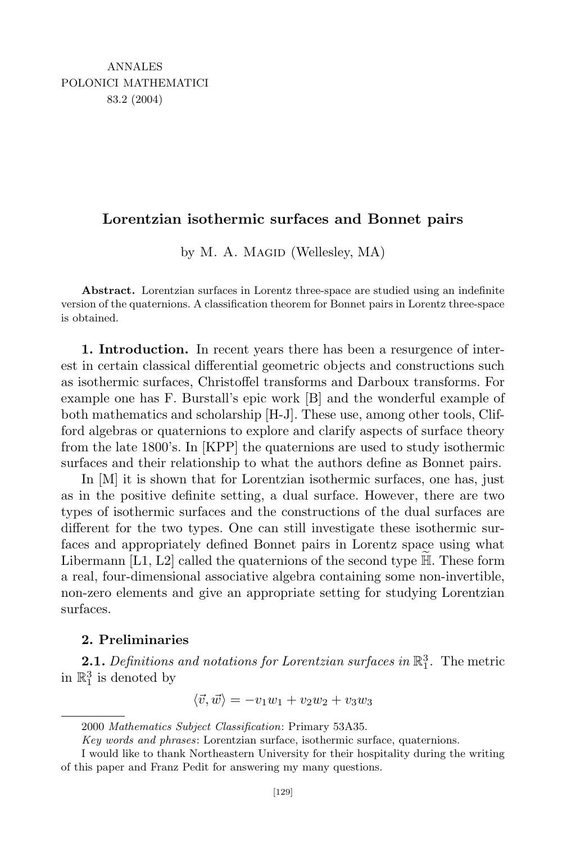## **Lorentzian isothermic surfaces and Bonnet pairs**

by M. A. MAGID (Wellesley, MA)

**Abstract.** Lorentzian surfaces in Lorentz three-space are studied using an indefinite version of the quaternions. A classification theorem for Bonnet pairs in Lorentz three-space is obtained.

**1. Introduction.** In recent years there has been a resurgence of interest in certain classical differential geometric objects and constructions such as isothermic surfaces, Christoffel transforms and Darboux transforms. For example one has F. Burstall's epic work [B] and the wonderful example of both mathematics and scholarship [H-J]. These use, among other tools, Clifford algebras or quaternions to explore and clarify aspects of surface theory from the late 1800's. In [KPP] the quaternions are used to study isothermic surfaces and their relationship to what the authors define as Bonnet pairs.

In [M] it is shown that for Lorentzian isothermic surfaces, one has, just as in the positive definite setting, a dual surface. However, there are two types of isothermic surfaces and the constructions of the dual surfaces are different for the two types. One can still investigate these isothermic surfaces and appropriately defined Bonnet pairs in Lorentz space using what Libermann  $[L1, L2]$  called the quaternions of the second type  $\mathbb{H}$ . These form a real, four-dimensional associative algebra containing some non-invertible, non-zero elements and give an appropriate setting for studying Lorentzian surfaces.

## **2. Preliminaries**

**2.1.** Definitions and notations for Lorentzian surfaces in  $\mathbb{R}^3_1$ . The metric in  $\mathbb{R}^3_1$  is denoted by

$$
\langle \vec{v}, \vec{w} \rangle = -v_1 w_1 + v_2 w_2 + v_3 w_3
$$

<sup>2000</sup> *Mathematics Subject Classification*: Primary 53A35.

*Key words and phrases*: Lorentzian surface, isothermic surface, quaternions.

I would like to thank Northeastern University for their hospitality during the writing of this paper and Franz Pedit for answering my many questions.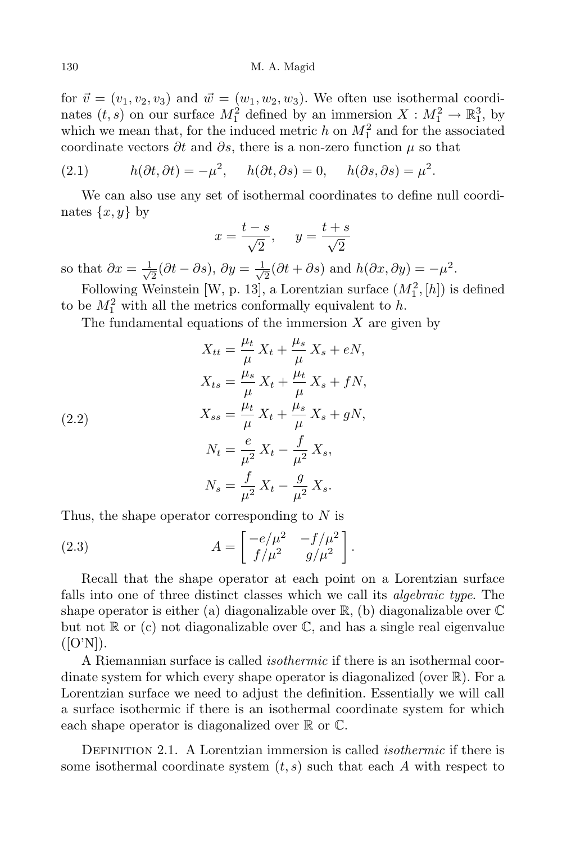for  $\vec{v} = (v_1, v_2, v_3)$  and  $\vec{w} = (w_1, w_2, w_3)$ . We often use isothermal coordinates  $(t, s)$  on our surface  $M_1^2$  defined by an immersion  $X : M_1^2 \to \mathbb{R}^3_1$ , by which we mean that, for the induced metric  $h$  on  $M_1^2$  and for the associated coordinate vectors *∂t* and *∂s*, there is a non-zero function *µ* so that

(2.1) 
$$
h(\partial t, \partial t) = -\mu^2, \quad h(\partial t, \partial s) = 0, \quad h(\partial s, \partial s) = \mu^2.
$$

We can also use any set of isothermal coordinates to define null coordinates  $\{x, y\}$  by

$$
x = \frac{t - s}{\sqrt{2}}, \quad y = \frac{t + s}{\sqrt{2}}
$$

so that  $\partial x = \frac{1}{\sqrt{2}}$  $\frac{1}{2}$ ( $\partial t - \partial s$ ),  $\partial y = \frac{1}{\sqrt{2}}$  $\frac{1}{2}(\partial t + \partial s)$  and  $h(\partial x, \partial y) = -\mu^2$ .

Following Weinstein [W, p. 13], a Lorentzian surface  $(M_1^2, [h])$  is defined to be  $M_1^2$  with all the metrics conformally equivalent to *h*.

*µs*

The fundamental equations of the immersion *X* are given by

(2.2)  
\n
$$
X_{tt} = \frac{\mu_t}{\mu} X_t + \frac{\mu_s}{\mu} X_s + eN,
$$
\n
$$
X_{ts} = \frac{\mu_s}{\mu} X_t + \frac{\mu_t}{\mu} X_s + fN,
$$
\n
$$
X_{ss} = \frac{\mu_t}{\mu} X_t + \frac{\mu_s}{\mu} X_s + gN,
$$
\n
$$
N_t = \frac{e}{\mu^2} X_t - \frac{f}{\mu^2} X_s,
$$
\n
$$
N_s = \frac{f}{\mu^2} X_t - \frac{g}{\mu^2} X_s.
$$

Thus, the shape operator corresponding to *N* is

(2.3) 
$$
A = \begin{bmatrix} -e/\mu^2 & -f/\mu^2 \\ f/\mu^2 & g/\mu^2 \end{bmatrix}.
$$

Recall that the shape operator at each point on a Lorentzian surface falls into one of three distinct classes which we call its *algebraic type*. The shape operator is either (a) diagonalizable over  $\mathbb{R}$ , (b) diagonalizable over  $\mathbb{C}$ but not  $\mathbb R$  or (c) not diagonalizable over  $\mathbb C$ , and has a single real eigenvalue ([O'N]).

A Riemannian surface is called *isothermic* if there is an isothermal coordinate system for which every shape operator is diagonalized (over R). For a Lorentzian surface we need to adjust the definition. Essentially we will call a surface isothermic if there is an isothermal coordinate system for which each shape operator is diagonalized over  $\mathbb R$  or  $\mathbb C$ .

Definition 2.1. A Lorentzian immersion is called *isothermic* if there is some isothermal coordinate system  $(t, s)$  such that each  $A$  with respect to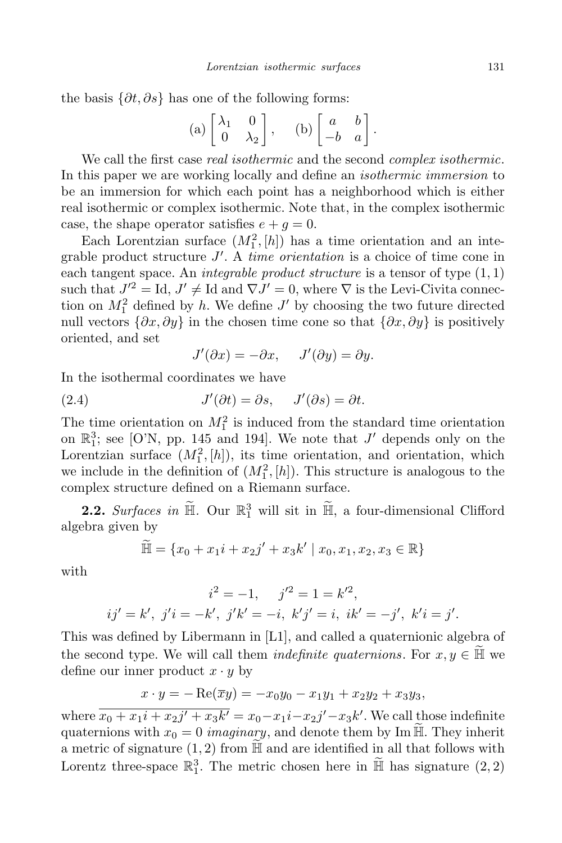the basis  $\{\partial t, \partial s\}$  has one of the following forms:

(a) 
$$
\begin{bmatrix} \lambda_1 & 0 \\ 0 & \lambda_2 \end{bmatrix}
$$
, (b)  $\begin{bmatrix} a & b \\ -b & a \end{bmatrix}$ .

We call the first case *real isothermic* and the second *complex isothermic*. In this paper we are working locally and define an *isothermic immersion* to be an immersion for which each point has a neighborhood which is either real isothermic or complex isothermic. Note that, in the complex isothermic case, the shape operator satisfies  $e + q = 0$ .

Each Lorentzian surface  $(M_1^2, [h])$  has a time orientation and an integrable product structure *J 0* . A *time orientation* is a choice of time cone in each tangent space. An *integrable product structure* is a tensor of type (1*,* 1) such that  $J'^2 = \text{Id}, J' \neq \text{Id}$  and  $\nabla J' = 0$ , where  $\nabla$  is the Levi-Civita connection on  $M_1^2$  defined by *h*. We define  $J'$  by choosing the two future directed null vectors  $\{\partial x, \partial y\}$  in the chosen time cone so that  $\{\partial x, \partial y\}$  is positively oriented, and set

$$
J'(\partial x) = -\partial x, \quad J'(\partial y) = \partial y.
$$

In the isothermal coordinates we have

(2.4) 
$$
J'(\partial t) = \partial s, \quad J'(\partial s) = \partial t.
$$

The time orientation on  $M_1^2$  is induced from the standard time orientation on  $\mathbb{R}^3$ ; see [O'N, pp. 145 and 194]. We note that *J'* depends only on the Lorentzian surface  $(M_1^2, [h])$ , its time orientation, and orientation, which we include in the definition of  $(M_1^2, [h])$ . This structure is analogous to the complex structure defined on a Riemann surface.

**2.2.** *Surfaces in*  $\mathbb{H}$ . Our  $\mathbb{R}^3$  will sit in  $\mathbb{H}$ , a four-dimensional Clifford algebra given by

$$
\widetilde{\mathbb{H}} = \{x_0 + x_1i + x_2j' + x_3k' \mid x_0, x_1, x_2, x_3 \in \mathbb{R}\}\
$$

with

$$
i^2 = -1
$$
,  $j'^2 = 1 = k'^2$ ,  
\n $ij' = k'$ ,  $j'i = -k'$ ,  $j'k' = -i$ ,  $k'j' = i$ ,  $ik' = -j'$ ,  $k'i = j'$ .

This was defined by Libermann in [L1], and called a quaternionic algebra of the second type. We will call them *indefinite quaternions*. For  $x, y \in \widetilde{H}$  we define our inner product  $x \cdot y$  by

$$
x \cdot y = -\operatorname{Re}(\overline{x}y) = -x_0y_0 - x_1y_1 + x_2y_2 + x_3y_3,
$$

where  $x_0 + x_1i + x_2j' + x_3k' = x_0 - x_1i - x_2j' - x_3k'$ . We call those indefinite quaternions with  $x_0 = 0$  *imaginary*, and denote them by Im  $\widetilde{\mathbb{H}}$ . They inherit a metric of signature  $(1, 2)$  from  $\mathbb H$  and are identified in all that follows with Lorentz three-space  $\mathbb{R}^3$ . The metric chosen here in  $\mathbb{H}$  has signature  $(2, 2)$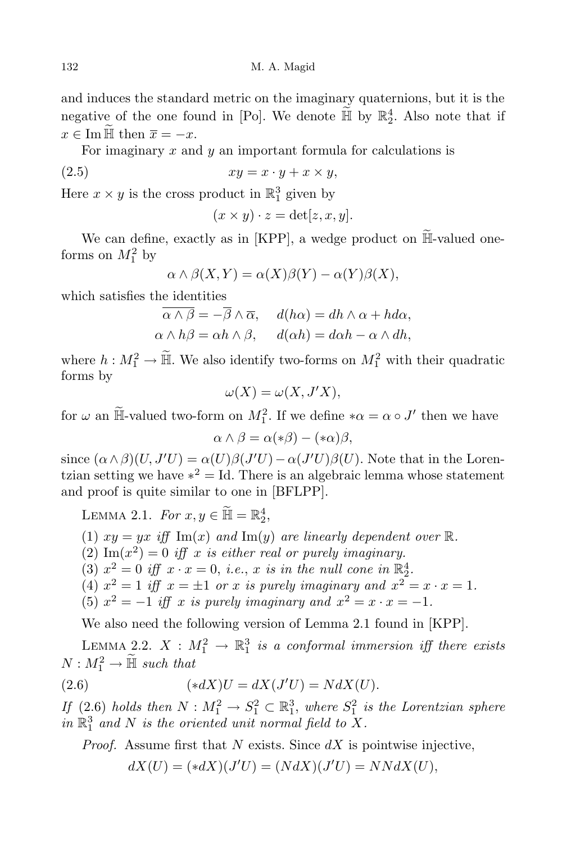and induces the standard metric on the imaginary quaternions, but it is the negative of the one found in [Po]. We denote  $\mathbb{H}$  by  $\mathbb{R}^4$ . Also note that if  $x \in \text{Im } \overline{\mathbb{H}}$  then  $\overline{x} = -x$ .

For imaginary *x* and *y* an important formula for calculations is

$$
(2.5) \t\t xy = x \cdot y + x \times y,
$$

Here  $x \times y$  is the cross product in  $\mathbb{R}^3_1$  given by

$$
(x \times y) \cdot z = \det[z, x, y].
$$

We can define, exactly as in [KPP], a wedge product on  $\widetilde{\mathbb{H}}$ -valued oneforms on  $M_1^2$  by

$$
\alpha \wedge \beta(X, Y) = \alpha(X)\beta(Y) - \alpha(Y)\beta(X),
$$

which satisfies the identities

$$
\overline{\alpha \wedge \beta} = -\overline{\beta} \wedge \overline{\alpha}, \quad d(h\alpha) = dh \wedge \alpha + hd\alpha,
$$
  

$$
\alpha \wedge h\beta = \alpha h \wedge \beta, \quad d(\alpha h) = d\alpha h - \alpha \wedge dh,
$$

where  $h: M_1^2 \to \mathbb{H}$ . We also identify two-forms on  $M_1^2$  with their quadratic forms by

$$
\omega(X) = \omega(X, J'X),
$$

for  $\omega$  an  $\overline{\mathbb{H}}$ -valued two-form on  $M_1^2$ . If we define  $*\alpha = \alpha \circ J'$  then we have

$$
\alpha \wedge \beta = \alpha(*\beta) - (*\alpha)\beta,
$$

since  $(\alpha \land \beta)(U, J'U) = \alpha(U)\beta(J'U) - \alpha(J'U)\beta(U)$ . Note that in the Lorentzian setting we have  $*^2 = Id$ . There is an algebraic lemma whose statement and proof is quite similar to one in [BFLPP].

LEMMA 2.1. *For*  $x, y \in \mathbb{H} = \mathbb{R}_2^4$ ,

- (1)  $xy = yx$  *iff*  $\text{Im}(x)$  *and*  $\text{Im}(y)$  *are linearly dependent over* R.
- $(2)$  Im $(x^2) = 0$  *iff x is either real or purely imaginary.*
- (3)  $x^2 = 0$  *iff*  $x \cdot x = 0$ , *i.e.*, *x is in the null cone in*  $\mathbb{R}^4_2$ .
- (4)  $x^2 = 1$  *iff*  $x = \pm 1$  *or x is purely imaginary* and  $x^2 = x \cdot x = 1$ *.*
- (5)  $x^2 = -1$  *iff x is purely imaginary and*  $x^2 = x \cdot x = -1$ *.*

We also need the following version of Lemma 2.1 found in [KPP].

LEMMA 2.2.  $X : M_1^2 \to \mathbb{R}^3_1$  is a conformal immersion iff there exists  $N: M_1^2 \to \overline{\mathbb{H}}$  *such that* 

(2.6) 
$$
(*dX)U = dX(J'U) = NdX(U).
$$

*If*  $(2.6)$  *holds then*  $N : M_1^2 \to S_1^2 \subset \mathbb{R}^3$ , *where*  $S_1^2$  *is the Lorentzian sphere* in  $\mathbb{R}^3_1$  and N is the oriented unit normal field to X.

*Proof.* Assume first that *N* exists. Since *dX* is pointwise injective,

$$
dX(U) = (*dX)(J'U) = (NdX)(J'U) = NNdX(U),
$$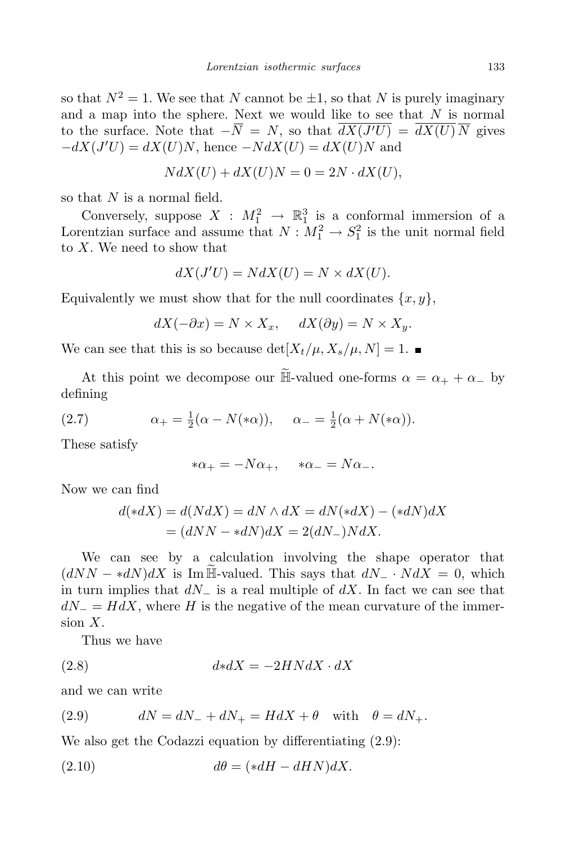so that  $N^2 = 1$ . We see that *N* cannot be  $\pm 1$ , so that *N* is purely imaginary and a map into the sphere. Next we would like to see that *N* is normal to the surface. Note that  $-N = N$ , so that  $dX(J'U) = dX(U)N$  gives *−dX*(*J <sup>0</sup>U*) = *dX*(*U*)*N*, hence *−NdX*(*U*) = *dX*(*U*)*N* and

$$
N dX(U) + dX(U)N = 0 = 2N \cdot dX(U),
$$

so that *N* is a normal field.

Conversely, suppose  $X : M_1^2 \to \mathbb{R}^3$  is a conformal immersion of a Lorentzian surface and assume that  $N: M_1^2 \to S_1^2$  is the unit normal field to *X*. We need to show that

$$
dX(J'U) = NdX(U) = N \times dX(U).
$$

Equivalently we must show that for the null coordinates  $\{x, y\}$ ,

$$
dX(-\partial x) = N \times X_x, \quad dX(\partial y) = N \times X_y.
$$

We can see that this is so because  $\det[X_t/\mu, X_s/\mu, N] = 1$ .

At this point we decompose our  $\tilde{\mathbb{H}}$ -valued one-forms  $\alpha = \alpha_+ + \alpha_-$  by defining

(2.7) 
$$
\alpha_{+} = \frac{1}{2}(\alpha - N(*\alpha)), \quad \alpha_{-} = \frac{1}{2}(\alpha + N(*\alpha)).
$$

These satisfy

$$
*\alpha_+ = -N\alpha_+, \quad *\alpha_- = N\alpha_-.
$$

Now we can find

$$
d(*dX) = d(NdX) = dN \wedge dX = dN(*dX) - (*dN)dX
$$

$$
= (dNN - *dN)dX = 2(dN) \wedge dX.
$$

We can see by a calculation involving the shape operator that  $(dNN - *dN)dX$  is Im H-valued. This says that  $dN - *dX = 0$ , which in turn implies that *dN<sup>−</sup>* is a real multiple of *dX*. In fact we can see that  $dN$ <sup>−</sup> =  $HdX$ , where *H* is the negative of the mean curvature of the immersion *X*.

Thus we have

$$
(2.8)\qquad \qquad d * dX = -2H N dX \cdot dX
$$

and we can write

(2.9) 
$$
dN = dN_- + dN_+ = HdX + \theta \quad \text{with} \quad \theta = dN_+.
$$

We also get the Codazzi equation by differentiating (2.9):

(2.10) 
$$
d\theta = (*dH - dHN)dX.
$$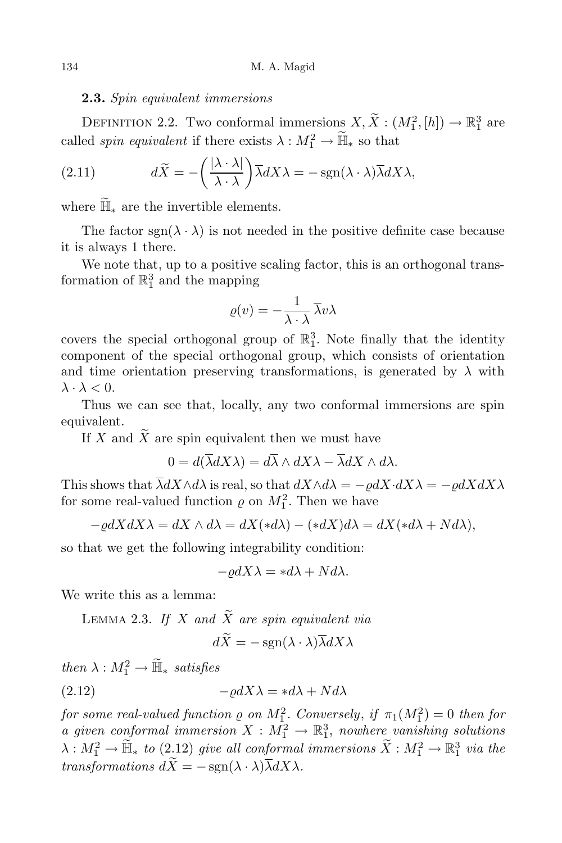## **2.3.** *Spin equivalent immersions*

DEFINITION 2.2. Two conformal immersions  $X, X : (M_1^2, [h]) \to \mathbb{R}_1^3$  are called *spin equivalent* if there exists  $\lambda : M_1^2 \to \mathbb{H}_*$  so that

(2.11) 
$$
d\widetilde{X} = -\left(\frac{|\lambda \cdot \lambda|}{\lambda \cdot \lambda}\right) \overline{\lambda} dX \lambda = -\operatorname{sgn}(\lambda \cdot \lambda) \overline{\lambda} dX \lambda,
$$

where  $\mathbb{H}_*$  are the invertible elements.

The factor  $sgn(\lambda \cdot \lambda)$  is not needed in the positive definite case because it is always 1 there.

We note that, up to a positive scaling factor, this is an orthogonal transformation of  $\mathbb{R}_1^3$  and the mapping

$$
\varrho(v) = -\frac{1}{\lambda \cdot \lambda} \overline{\lambda} v \lambda
$$

covers the special orthogonal group of  $\mathbb{R}^3$ . Note finally that the identity component of the special orthogonal group, which consists of orientation and time orientation preserving transformations, is generated by  $\lambda$  with *λ*  $\cdot$  *λ*  $<$  0.

Thus we can see that, locally, any two conformal immersions are spin equivalent.

If *X* and  $\widetilde{X}$  are spin equivalent then we must have

$$
0 = d(\overline{\lambda}dX\lambda) = d\overline{\lambda} \wedge dX\lambda - \overline{\lambda}dX \wedge d\lambda.
$$

This shows that  $\overline{\lambda}dX \wedge d\lambda$  is real, so that  $dX \wedge d\lambda = -\rho dX \cdot dX\lambda = -\rho dX dX\lambda$ for some real-valued function  $\varrho$  on  $M_1^2$ . Then we have

$$
-\varrho dX dX \lambda = dX \wedge d\lambda = dX (*d\lambda) - (*dX)d\lambda = dX(*d\lambda + Nd\lambda),
$$

so that we get the following integrability condition:

$$
-\varrho dX\lambda = *d\lambda + Nd\lambda.
$$

We write this as a lemma:

LEMMA 2.3. If  $X$  and  $\widetilde{X}$  are spin equivalent via

$$
dX = -\operatorname{sgn}(\lambda \cdot \lambda) \overline{\lambda} dX \lambda
$$

 $then \ \lambda : M_1^2 \to \overline{\mathbb{H}}_* \ satisfies$ (2.12)  $-\rho dX\lambda = *d\lambda + Nd\lambda$ 

 $f$ *or some* real-valued  $f$ unction  $\varrho$  *on*  $M_1^2$ *. Conversely, if*  $\pi_1(M_1^2) = 0$  *then*  $f$ *or a given conformal immersion*  $X : M_1^2 \to \mathbb{R}^3$ , *nowhere vanishing solutions*  $\lambda: M_1^2 \to \widetilde{\mathbb{H}}_*$  *to* (2.12) *give all conformal immersions*  $\widetilde{X}: M_1^2 \to \mathbb{R}^3_1$  *via the transformations*  $d\widetilde{X} = -\operatorname{sgn}(\lambda \cdot \lambda) \overline{\lambda} dX\lambda$ .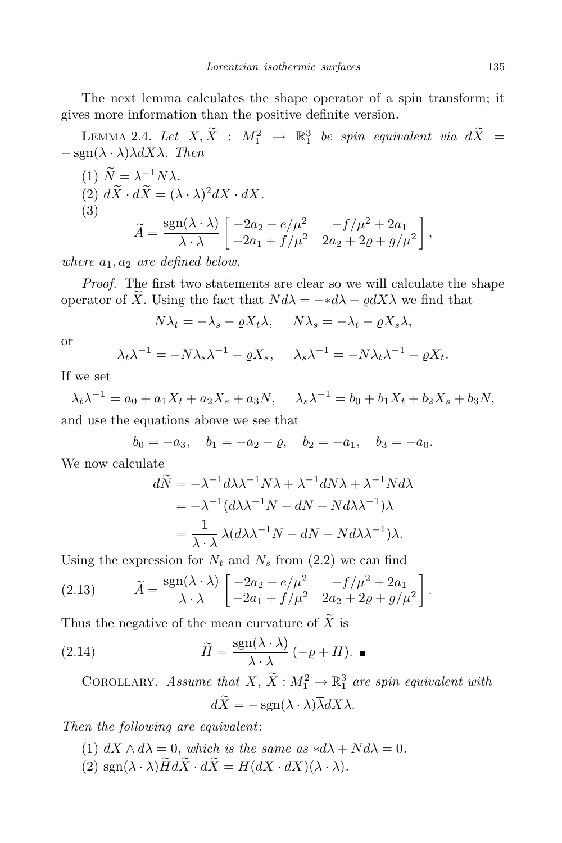The next lemma calculates the shape operator of a spin transform; it gives more information than the positive definite version.

LEMMA 2.4. Let  $X, X : M_1^2 \rightarrow \mathbb{R}_1^3$  be spin equivalent via  $dX =$ *−* sgn(*λ · λ*)*λdXλ. Then*

(1) 
$$
\widetilde{N} = \lambda^{-1} N \lambda
$$
.  
\n(2)  $d\widetilde{X} \cdot d\widetilde{X} = (\lambda \cdot \lambda)^2 dX \cdot dX$ .  
\n(3) 
$$
\widetilde{A} = \frac{\text{sgn}(\lambda \cdot \lambda)}{\lambda \cdot \lambda} \begin{bmatrix} -2a_2 - e/\mu^2 & -f/\mu^2 + 2a_1 \\ -2a_1 + f/\mu^2 & 2a_2 + 2\varrho + g/\mu^2 \end{bmatrix},
$$

*where a*1*, a*<sup>2</sup> *are defined below.*

*Proof.* The first two statements are clear so we will calculate the shape operator of *X*. Using the fact that  $N d\lambda = - * d\lambda - \rho dX\lambda$  we find that

$$
N\lambda_t = -\lambda_s - \varrho X_t \lambda, \quad N\lambda_s = -\lambda_t - \varrho X_s \lambda,
$$

or

$$
\lambda_t \lambda^{-1} = -N \lambda_s \lambda^{-1} - \varrho X_s, \quad \lambda_s \lambda^{-1} = -N \lambda_t \lambda^{-1} - \varrho X_t.
$$

If we set

 $\lambda_t \lambda^{-1} = a_0 + a_1 X_t + a_2 X_s + a_3 N, \quad \lambda_s \lambda^{-1} = b_0 + b_1 X_t + b_2 X_s + b_3 N,$ and use the equations above we see that

$$
b_0 = -a_3
$$
,  $b_1 = -a_2 - \varrho$ ,  $b_2 = -a_1$ ,  $b_3 = -a_0$ .

We now calculate

$$
d\widetilde{N} = -\lambda^{-1} d\lambda \lambda^{-1} N \lambda + \lambda^{-1} dN \lambda + \lambda^{-1} N d\lambda
$$
  
=  $-\lambda^{-1} (d\lambda \lambda^{-1} N - dN - N d\lambda \lambda^{-1}) \lambda$   
=  $\frac{1}{\lambda \cdot \lambda} \overline{\lambda} (d\lambda \lambda^{-1} N - dN - N d\lambda \lambda^{-1}) \lambda.$ 

Using the expression for  $N_t$  and  $N_s$  from (2.2) we can find

(2.13) 
$$
\widetilde{A} = \frac{\text{sgn}(\lambda \cdot \lambda)}{\lambda \cdot \lambda} \begin{bmatrix} -2a_2 - e/\mu^2 & -f/\mu^2 + 2a_1 \\ -2a_1 + f/\mu^2 & 2a_2 + 2g + g/\mu^2 \end{bmatrix}.
$$

Thus the negative of the mean curvature of  $\widetilde{X}$  is

(2.14) 
$$
\widetilde{H} = \frac{\text{sgn}(\lambda \cdot \lambda)}{\lambda \cdot \lambda} \left( -\varrho + H \right). \blacksquare
$$

COROLLARY. *Assume that*  $X$ ,  $\tilde{X}$  :  $M_1^2 \rightarrow \mathbb{R}_1^3$  *are spin equivalent with*  $d\widetilde{X} = -\operatorname{sgn}(\lambda \cdot \lambda) \overline{\lambda} dX\lambda.$ 

*Then the following are equivalent*:

- (1)  $dX \wedge d\lambda = 0$ , which is the same  $as *d\lambda + Nd\lambda = 0$ .
- $(2)$  sgn $(\lambda \cdot \lambda) \widetilde{H} d\widetilde{X} \cdot d\widetilde{X} = H(dX \cdot dX)(\lambda \cdot \lambda).$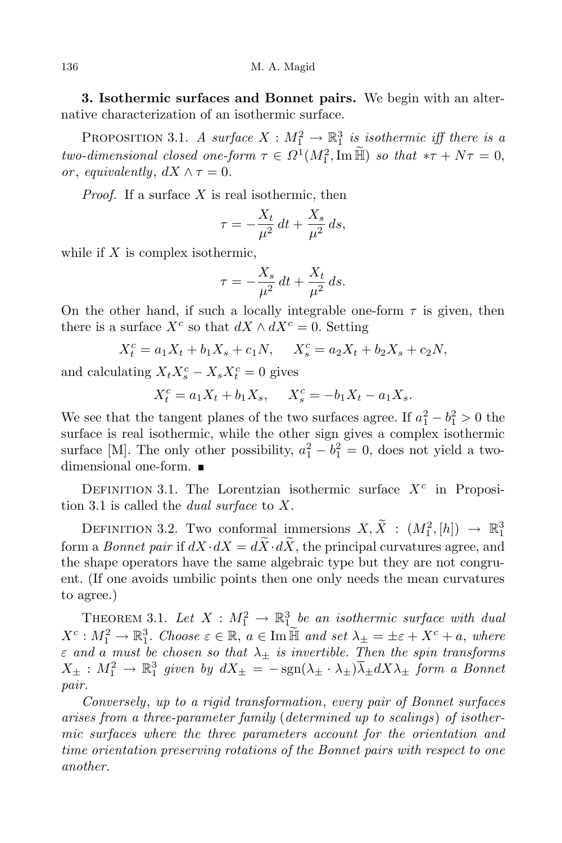**3. Isothermic surfaces and Bonnet pairs.** We begin with an alternative characterization of an isothermic surface.

PROPOSITION 3.1. *A* surface  $X : M_1^2 \to \mathbb{R}^3_1$  is isothermic iff there is a *two-dimensional closed one-form*  $\tau \in \Omega^1(M_1^2, \text{Im } \mathbb{H})$  *so that*  $*\tau + N\tau = 0$ , *or*, *equivalently*,  $dX \wedge \tau = 0$ .

*Proof.* If a surface *X* is real isothermic, then

$$
\tau = -\frac{X_t}{\mu^2} dt + \frac{X_s}{\mu^2} ds,
$$

while if *X* is complex isothermic,

$$
\tau = -\frac{X_s}{\mu^2} dt + \frac{X_t}{\mu^2} ds.
$$

On the other hand, if such a locally integrable one-form  $\tau$  is given, then there is a surface  $X^c$  so that  $dX \wedge dX^c = 0$ . Setting

$$
X_t^c = a_1 X_t + b_1 X_s + c_1 N, \quad X_s^c = a_2 X_t + b_2 X_s + c_2 N,
$$

and calculating  $X_t X_s^c - X_s X_t^c = 0$  gives

$$
X_t^c = a_1 X_t + b_1 X_s, \quad X_s^c = -b_1 X_t - a_1 X_s.
$$

We see that the tangent planes of the two surfaces agree. If  $a_1^2 - b_1^2 > 0$  the surface is real isothermic, while the other sign gives a complex isothermic surface [M]. The only other possibility,  $a_1^2 - b_1^2 = 0$ , does not yield a twodimensional one-form.

DEFINITION 3.1. The Lorentzian isothermic surface  $X^c$  in Proposition 3.1 is called the *dual surface* to *X*.

DEFINITION 3.2. Two conformal immersions  $X, \tilde{X} : (M_1^2, [h]) \rightarrow \mathbb{R}_1^3$ form a *Bonnet pair* if  $dX \cdot dX = d\widetilde{X} \cdot d\widetilde{X}$ , the principal curvatures agree, and the shape operators have the same algebraic type but they are not congruent. (If one avoids umbilic points then one only needs the mean curvatures to agree.)

THEOREM 3.1. Let  $X : M_1^2 \to \mathbb{R}^3$  be an *isothermic surface with dual*  $X^c: M_1^2 \to \mathbb{R}_1^3$ . Choose  $\varepsilon \in \mathbb{R}$ ,  $a \in \text{Im }\mathbb{H}$  and set  $\lambda_{\pm} = \pm \varepsilon + X^c + a$ , where *ε and a must be chosen so that λ<sup>±</sup> is invertible. Then the spin transforms*  $X_{\pm}: M_1^2 \to \mathbb{R}_1^3$  given by  $dX_{\pm} = -\text{sgn}(\lambda_{\pm} \cdot \lambda_{\pm})\overline{\lambda}_{\pm}dX\lambda_{\pm}$  form a Bonnet *pair.*

*Conversely*, *up to a rigid transformation*, *every pair of Bonnet surfaces arises from a three-parameter family* (*determined up to scalings*) *of isothermic surfaces where the three parameters account for the orientation and time orientation preserving rotations of the Bonnet pairs with respect to one another.*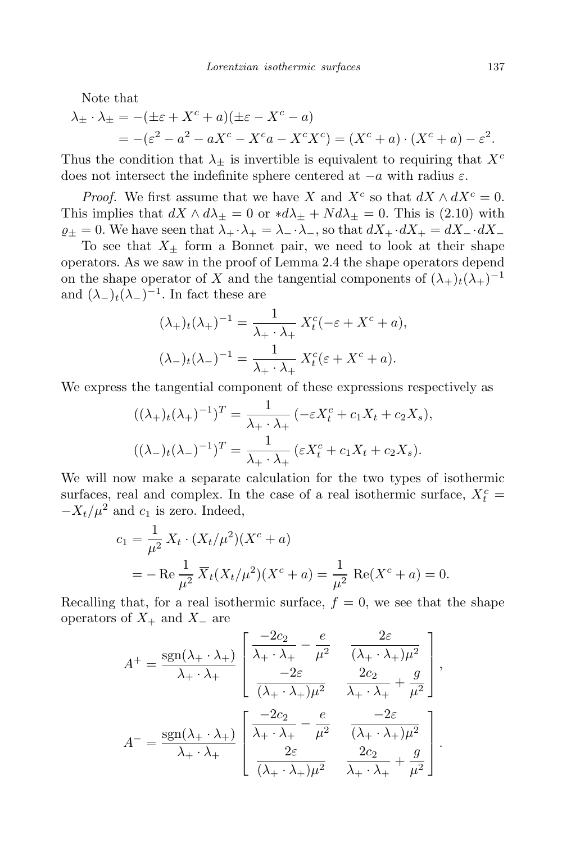Note that

$$
\lambda_{\pm} \cdot \lambda_{\pm} = -(\pm \varepsilon + X^c + a)(\pm \varepsilon - X^c - a)
$$
  
= -(\varepsilon^2 - a^2 - aX^c - X^c a - X^c X^c) = (X^c + a) \cdot (X^c + a) - \varepsilon^2.

Thus the condition that  $\lambda_{\pm}$  is invertible is equivalent to requiring that  $X^c$ does not intersect the indefinite sphere centered at *−a* with radius *ε*.

*Proof.* We first assume that we have *X* and  $X^c$  so that  $dX \wedge dX^c = 0$ . This implies that  $dX \wedge d\lambda_{\pm} = 0$  or  $*d\lambda_{\pm} + Nd\lambda_{\pm} = 0$ . This is (2.10) with  $\rho_{+} = 0$ . We have seen that  $\lambda_{+} \cdot \lambda_{+} = \lambda_{-} \cdot \lambda_{-}$ , so that  $dX_{+} \cdot dX_{+} = dX_{-} \cdot dX_{-}$ 

To see that  $X_{\pm}$  form a Bonnet pair, we need to look at their shape operators. As we saw in the proof of Lemma 2.4 the shape operators depend on the shape operator of *X* and the tangential components of  $(\lambda_+)_t(\lambda_+)^{-1}$ and  $(\lambda_-)_t(\lambda_-)^{-1}$ . In fact these are

$$
(\lambda_+)t(\lambda_+)^{-1} = \frac{1}{\lambda_+ \cdot \lambda_+} X_t^c(-\varepsilon + X^c + a),
$$

$$
(\lambda_-)t(\lambda_-)^{-1} = \frac{1}{\lambda_+ \cdot \lambda_+} X_t^c(\varepsilon + X^c + a).
$$

We express the tangential component of these expressions respectively as

$$
((\lambda_{+})_{t}(\lambda_{+})^{-1})^{T} = \frac{1}{\lambda_{+} \cdot \lambda_{+}} (-\varepsilon X_{t}^{c} + c_{1}X_{t} + c_{2}X_{s}),
$$

$$
((\lambda_{-})_{t}(\lambda_{-})^{-1})^{T} = \frac{1}{\lambda_{+} \cdot \lambda_{+}} (\varepsilon X_{t}^{c} + c_{1}X_{t} + c_{2}X_{s}).
$$

We will now make a separate calculation for the two types of isothermic surfaces, real and complex. In the case of a real isothermic surface,  $X_t^c$  =  $-V_t/\mu^2$  and  $c_1$  is zero. Indeed,

$$
c_1 = \frac{1}{\mu^2} X_t \cdot (X_t/\mu^2)(X^c + a)
$$
  
=  $-\text{Re} \frac{1}{\mu^2} \overline{X}_t (X_t/\mu^2)(X^c + a) = \frac{1}{\mu^2} \text{Re}(X^c + a) = 0.$ 

Recalling that, for a real isothermic surface,  $f = 0$ , we see that the shape operators of *X*<sup>+</sup> and *X<sup>−</sup>* are

$$
A^{+} = \frac{\text{sgn}(\lambda_{+} \cdot \lambda_{+})}{\lambda_{+} \cdot \lambda_{+}} \left[ \begin{array}{ccc} \frac{-2c_{2}}{\lambda_{+} \cdot \lambda_{+}} - \frac{e}{\mu^{2}} & \frac{2\varepsilon}{(\lambda_{+} \cdot \lambda_{+})\mu^{2}} \\ \frac{-2\varepsilon}{(\lambda_{+} \cdot \lambda_{+})\mu^{2}} & \frac{2c_{2}}{\lambda_{+} \cdot \lambda_{+}} + \frac{g}{\mu^{2}} \end{array} \right],
$$

$$
A^{-} = \frac{\text{sgn}(\lambda_{+} \cdot \lambda_{+})}{\lambda_{+} \cdot \lambda_{+}} \left[ \begin{array}{ccc} \frac{-2c_{2}}{\lambda_{+} \cdot \lambda_{+}} - \frac{e}{\mu^{2}} & \frac{-2\varepsilon}{(\lambda_{+} \cdot \lambda_{+})\mu^{2}} \\ \frac{2\varepsilon}{(\lambda_{+} \cdot \lambda_{+})\mu^{2}} & \frac{2c_{2}}{\lambda_{+} \cdot \lambda_{+}} + \frac{g}{\mu^{2}} \end{array} \right].
$$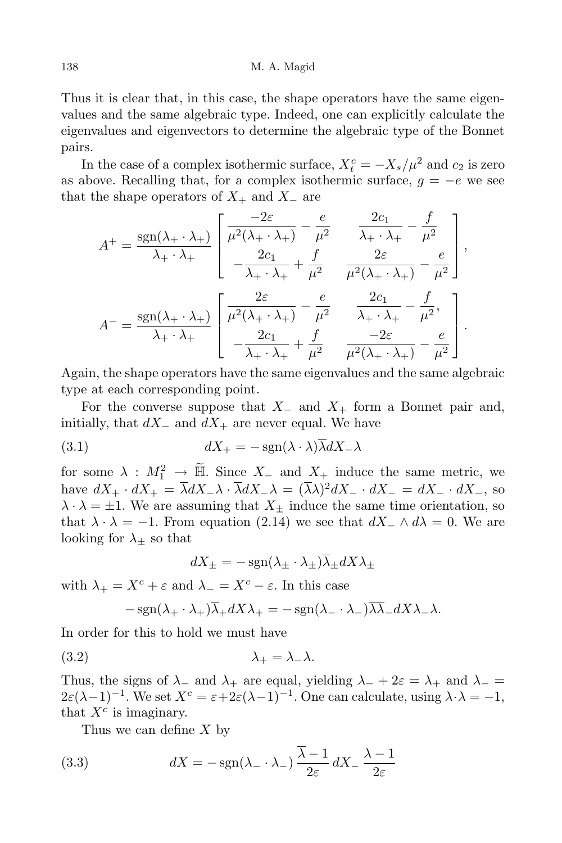Thus it is clear that, in this case, the shape operators have the same eigenvalues and the same algebraic type. Indeed, one can explicitly calculate the eigenvalues and eigenvectors to determine the algebraic type of the Bonnet pairs.

In the case of a complex isothermic surface,  $X_t^c = -X_s/\mu^2$  and  $c_2$  is zero as above. Recalling that, for a complex isothermic surface,  $g = -e$  we see that the shape operators of *X*<sup>+</sup> and *X<sup>−</sup>* are

$$
A^{+} = \frac{\text{sgn}(\lambda_{+} \cdot \lambda_{+})}{\lambda_{+} \cdot \lambda_{+}} \left[ \frac{\frac{-2\varepsilon}{\mu^{2}(\lambda_{+} \cdot \lambda_{+})} - \frac{e}{\mu^{2}}}{-\frac{2c_{1}}{\lambda_{+} \cdot \lambda_{+}} + \frac{f}{\mu^{2}}}{\frac{2\varepsilon}{\mu^{2}(\lambda_{+} \cdot \lambda_{+})} - \frac{e}{\mu^{2}}}\right],
$$
  

$$
A^{-} = \frac{\text{sgn}(\lambda_{+} \cdot \lambda_{+})}{\lambda_{+} \cdot \lambda_{+}} \left[ \frac{\frac{2\varepsilon}{\mu^{2}(\lambda_{+} \cdot \lambda_{+})} - \frac{e}{\mu^{2}}}{-\frac{2c_{1}}{\lambda_{+} \cdot \lambda_{+}} + \frac{f}{\mu^{2}}}{\frac{-2\varepsilon}{\mu^{2}(\lambda_{+} \cdot \lambda_{+})} - \frac{e}{\mu^{2}}}\right].
$$

Again, the shape operators have the same eigenvalues and the same algebraic type at each corresponding point.

For the converse suppose that *X<sup>−</sup>* and *X*<sup>+</sup> form a Bonnet pair and, initially, that *dX<sup>−</sup>* and *dX*<sup>+</sup> are never equal. We have

(3.1) 
$$
dX_{+} = -\operatorname{sgn}(\lambda \cdot \lambda) \overline{\lambda} dX_{-} \lambda
$$

for some  $\lambda : M_1^2 \to \mathbb{H}$ . Since  $X_-\text{ and } X_+\text{ induce the same metric, we}$ have  $dX_+ \cdot dX_+ = \overline{\lambda} dX_- \lambda \cdot \overline{\lambda} dX_- \lambda = (\overline{\lambda} \lambda)^2 dX_- \cdot dX_- = dX_- \cdot dX_-,$  so  $\lambda \cdot \lambda = \pm 1$ . We are assuming that  $X_{+}$  induce the same time orientation, so that  $\lambda \cdot \lambda = -1$ . From equation (2.14) we see that  $dX_-\wedge d\lambda = 0$ . We are looking for  $\lambda_{\pm}$  so that

$$
dX_{\pm} = -\operatorname{sgn}(\lambda_{\pm} \cdot \lambda_{\pm})\overline{\lambda}_{\pm}dX\lambda_{\pm}
$$

with  $\lambda_+ = X^c + \varepsilon$  and  $\lambda_- = X^c - \varepsilon$ . In this case

$$
-\operatorname{sgn}(\lambda_+ \cdot \lambda_+) \overline{\lambda}_+ dX \lambda_+ = -\operatorname{sgn}(\lambda_- \cdot \lambda_-) \overline{\lambda} \overline{\lambda}_- dX \lambda_- \lambda.
$$

In order for this to hold we must have

$$
\lambda_+ = \lambda_- \lambda.
$$

Thus, the signs of  $\lambda$ <sub>−</sub> and  $\lambda$ <sub>+</sub> are equal, yielding  $\lambda$ <sub>−</sub> + 2 $\varepsilon$  =  $\lambda$ <sub>+</sub> and  $\lambda$ <sub>−</sub> =  $2\varepsilon(\lambda-1)^{-1}$ . We set  $X^c = \varepsilon + 2\varepsilon(\lambda-1)^{-1}$ . One can calculate, using  $\lambda \cdot \lambda = -1$ , that  $X^c$  is imaginary.

Thus we can define *X* by

(3.3) 
$$
dX = -\operatorname{sgn}(\lambda_- \cdot \lambda_-) \frac{\overline{\lambda} - 1}{2\varepsilon} dX_- \frac{\lambda - 1}{2\varepsilon}
$$